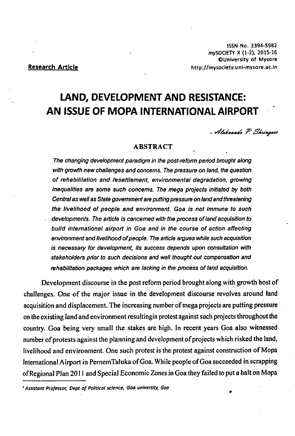# **LAND, DEVELOPMENT AND RESISTANCE: AN ISSUE OF MOPA INTERNATIONAL AIRPORT**

- Alaknanda P. Shringare

*\**

#### **ABSTRACT**

*The changing development paradigm in the post-reform period brought along with growth new challenges and concerns. The pressure on land, the question* of rehabilitation and resettlement, environmental degradation, growing *inequalities are some such concerns*. *The mega projects initiated by both Central as well* as Sfafe *government are putting pressure on land and threatening* the livelihood of people and environment. Goa is not immune to such developments. The article is concerned with the process of land acquisition to **build international airport in Goa and in the course of action affecting** environment and livelihood of people. The article argues while such acquisition *is necessary for development, its success depends upon consultation with stakeholders prior to such decisions and well thought out compensation and* rehabilitation packages which are lacking in the process of land acquisition.

Development discourse in the post reform period brought along with growth host of challenges. One of the major issue in the development discourse revolves around land acquisition and displacement. The increasing number of mega projects are putting pressure on the existing land and environment resultingin protest against such projects throughout the country. Goa being very small the stakes are high. In recent years Goa also witnessed number of protests against the planning and development of projects which risked the land, livelihood and environment. One such protest is the protest against construction of Mopa International Airport in PernemTaluka of Goa. While people of Goa succeeded in scrapping of Regional Plan 2011 and Special Economic Zones in Goa they failed to put a halt on Mopa

<sup>2</sup> Assistant Professor, Dept of Political science, Goa university, Goa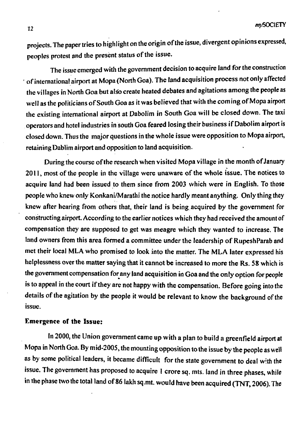projects. The paper tries to highlight on the origin of the issue, divergent opinions expressed, peoples protest and the present status of the issue.

The issue emerged with the government decision to acquire land for the construction ' of international airport at Mopa (North Goa). The land acquisition process not only affected the villages in North Goa but also create heated debates and agitations among the people as well as the politicians of South Goa as it was believed that with the coming of Mopa airport the existing international airport at Dabolim in South Goa will be closed down. The taxi operators and hotel industries in south Goa feared losing their business if Dabolim airport is closed down. Thus the major questions in the whole issue were opposition to Mopa airport, retaining Dablim airport and opposition to land acquisition.

During the course of the research when visited Mopa village in the month of January 2011, most of the people in the village were unaware of the whole issue. The notices to acquire land had been issued to them since from 2003 which were in English. To those people who knew only Konkani/Marathi the notice hardly meant anything. Only thing they knew after hearing from others that, their land is being acquired by the government for constructing airport. According to the earlier notices which they had received the amount of compensation they are supposed to get was meagre which they wanted to increase. The land owners from this area formed a committee under the leadership of RupeshParab and met their local MLA who promised to look into the matter. The MLA later expressed his helplessness over the matter saying that it cannot be increased to more the Rs. 58 which is the government compensation for any land acquisition in Goa and the only option for people is to appeal in the court if they are not happy with the compensation. Before going into the details of the agitation by the people it would be relevant to know the background of the issue.

## **Emergence of the Issue:**

In 2000, the Union government came up with a plan to build a greenfield airport at Mopa in North Goa. By mid-2005, the mounting opposition to the issue by the people as well as by some political leaders, it became difficult for the state government to deal with the issue, The government has proposed to acquire 1 crore sq. mts. land in three phases, while in the phase two the total land of 86 lakh sq.mt. would have been acquired (TNT, 2006). The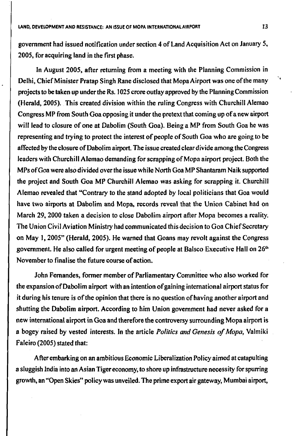government had issued notification under section 4 of Land Acquisition Act on January 5, 2005, for acquiring land in the first phase.

In August 2005, after returning from a meeting with the Planning Commission in Delhi, Chief Minister Pratap Singh Rane disclosed that Mopa Airport was one of the many projects to be taken up under the Rs. 1025 crore outlay approved by the Planning Commission (Herald, 2005). This created division within the ruling Congress with Churchill Alemao Congress MP from South Goa opposing it under the pretext that coming up of a new airport will lead to closure of one at Dabolim (South Goa). Being a MP from South Goa he was representing and trying to protect the interest of people of South Goa who are going to be affected by the closure of Dabolim airport. The issue created clear divide among the Congress leaders with Churchill Alemao demanding for scrapping of Mopa airport project. Both the MPs of Goa were also divided over the issue while North Goa MP Shantaram Naik supported the project and South Goa MP Churchill Alemao was asking for scrapping it. Churchill Alemao revealed that "Contrary to the stand adopted by local politicians that Goa would have two airports at Dabolim and Mopa, records reveal that the Union Cabinet had on March 29, 2000 taken a decision to close Dabolim airport after Mopa becomes a reality. The Union Civil Aviation Ministry had communicated this decision to Goa Chief Secretary on May 1,2005" (Herald, 2005). He warned that Goans may revolt against the Congress government. He also called for urgent meeting of people at Balsco Executive Hall on  $26<sup>th</sup>$ November to finalise the future course of action.

John Fernandes, former member of Parliamentary Committee who also worked for the expansion of Dabolim airport with an intention of gaining international airport status for it during his tenure is of the opinion that there is no question of having another airport and shutting the Dabolim airport. According to him Union government had never asked for a new international airport in Goa and therefore the controversy surrounding Mopa airport is a bogey raised by vested interests. In the article *Politics and Genesis of Mopa*, Valmiki Faleiro (2005) stated that:

After embarking on an ambitious Economic Liberalization Policy aimed at catapulting a sluggish India into an Asian Tiger economy, to shore up infrastructure necessity for spurring growth, an "Open Skies" policy was unveiled. The prime export air gateway, Mumbai airport, ٠.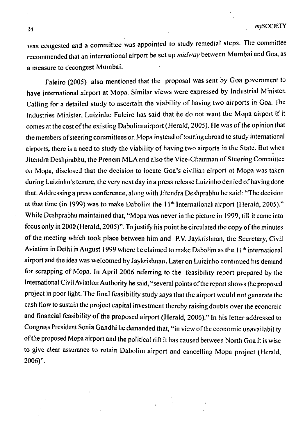was congested and a committee was appointed to study remedial steps. The committee recommended that an international airport be set up *midway* between Mumbai and Goa, as a measure to decongest Mumbai.

Faleiro (2005) also mentioned that the proposal was sent by Goa government to have international airport at Mopa. Similar views were expressed by Industrial Minister. Calling for a detailed study to ascertain the viability of having two airports in Goa. The Industries Minister, Luizinho Faleiro has said that he do not want the Mopa airport if it comes at the cost of the existing Dabolim airport (Herald, 2005). He was of the opinion that the members of steering committees on Mopa instead of touring abroad to study international airports, there is a need to study the viability of having two airports in the State. But when Jitendra Deshprabhu, the Prenem MLA and also the Vice-Chairman of Steering Committee on Mopa, disclosed that the decision to locate Goa's civilian airport at Mopa was taken during Luizinho's tenure, the very next day in a press release Luizinho denied of having done that. Addressing a press conference, along with Jitendra Deshprabhu he said: "The decision at that time (in 1999) was to make Dabolim the 11<sup>th</sup> International airport (Herald, 2005)." While Deshprabhu maintained that, "Mopa was never in the picture in 1999, till it came into focus only in 2000 (Herald, 2005)". To justify his point he circulated the copy of the minutes of the meeting which took place between him and P.V. Jaykrishnan, the Secretary, Civil Aviation in Delhi in August 1999 where he claimed to make Dabolim as the  $11<sup>th</sup>$  international airport and the idea was welcomed by Jaykrishnan. Later on Luizinho continued his demand for scrapping of Mopa, In April 2006 referring to the feasibility report prepared by the International Civil Aviation Authority he said, "several points of the report shows the proposed project in poor light. The final feasibility study says that the airport would not generate the cash flow to sustain the project capital investment thereby raising doubts over the economic and financial feasibility of the proposed airport (Herald, 2006)." In his letter addressed to Congress President Sonia Gandhi he demanded that, "in view of the economic unavailability of the proposed Mopa airport and the political rift it has caused between North Goa it is wise to give clear assurance to retain Dabolim airport and cancelling Mopa project (Herald, 2006)".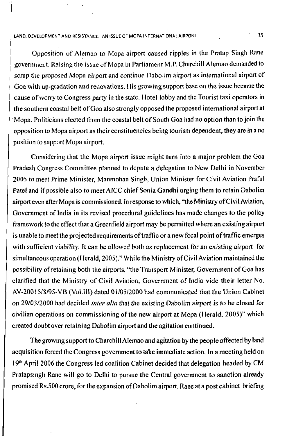#### **! LAND, DEVELOPMENT AND RESISTANCE: AN ISSUE OF MOPA INTERNATIONAL AIRPORT**

Opposition of Alemao to Mopa airport caused ripples in the Pratap Singh Rane **<sup>J</sup>**government. Raising the issue of Mopa in Parliament M.P. Churchill Alemao demanded to scrap the proposed Mopa airport and continue Dabolim airport as international airport of Goa with up-gradation and renovations. His growing support base on the issue became the cause of worry to Congress party in the state. Hotel lobby and the Tourist taxi operators in the southern coastal belt of Goa also strongly opposed the proposed international airport at Mopa. Politicians elected from the coastal belt of South Goa had no option than to join the opposition to Mopa airport as their constituencies being tourism dependent, they are in a no position to support Mopa airport.

Considering that the Mopa airport issue might turn into a major problem the Goa Pradesh Congress Committee planned to depute a delegation to New Delhi in November 2005 to meet Prime Minister, Manmohan Singh, Union Minister for Civil Aviation Praful Patel and if possible also to meet AICC chief Sonia Gandhi urging them to retain Dabolim airport even after Mopa is commissioned. In response to which, "the Ministry of Civil Aviation, Government of India in its revised procedural guidelines has made changes to the policy framework to the effect that a Greenfield airport may be permitted where an existing airport is unable to meet the projected requirements of traffic or a new focal point of traffic emerges with sufficient viability. It can be allowed both as replacement for an existing airport for simultaneous operation (Herald, 2005) " While the Ministry of Civil Aviation maintained the possibility' of retaining both the airports, "the Transport Minister, Government of Goa has clarified that the Ministry of Civil Aviation, Government of India vide their letter No. AV-20015/8/95-VB (Vol.III) dated 01/05/2000 had communicated that the Union Cabinet on 29/03/2000 had decided *inter alia* that the existing Dabolim airport is to be closed for civilian operations on commissioning of the new airport at Mopa (Herald, 2005)" which created doubt over retaining Dabol im airport and the agitation continued.

The growing support to Charchill Alemao and agitation by the people affected by land acquisition forced the Congress government to take immediate action. In a meeting held on 19th April 2006 the Congress led coalition Cabinet decided that delegation headed by CM Pratapsingh Rane will go to Delhi to pursue the Central government to sanction already promised Rs.500 crore, for the expansion of Dabolim airport. Rane at a post cabinet briefing

*15*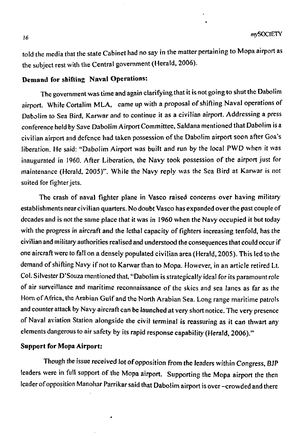told the media that the state Cabinet had no say in the matter pertaining to Mopa airport as the subject rest with the Central government (Herald, 2006).

## **Demand for shifting Naval Operations:**

The government was time and again clarifying that it is not going to shut the Dabolim airport. While Cortaiim MLA, came up with a proposal of shifting Naval operations of Dabolim to Sea Bird, Karwar and to continue it as a civilian airport. Addressing a press conference held by Save Dabolim Airport Committee, Saldana mentioned that Dabolim is a civilian airport and defence had taken possession of the Dabolim airport soon after Goa's liberation. He said: "Dabolim Airport was built and run by the local PWD when it was inaugurated in 1960. After Liberation, the Navy took possession of the airport just for maintenance (Herald, 2005)". While the Navy reply was the Sea Bird at Karwar is not suited for fighter jets.

The crash of naval fighter plane in Vasco raised concerns over having military establishments near civilian quarters. No doubt Vasco has expanded over the past couple of decades and is not the same place that it was in 1960 when the Navy occupied it but today with the progress in aircraft and the lethal capacity of fighters increasing tenfold, has the civilian and military authorities realised and understood the consequences that could occur if one aircraft were to fall on a densely populated civilian area (Herald, 2005). This led to the demand of shifting Navy if not to Karwar than to Mopa. However, in an article retired Lt. Col. Silvester D'Souza mentioned that, "Dabolim is strategically ideal for its paramount role of air surveillance and maritime reconnaissance of the skies and sea lanes as far as the Horn of Africa, the Arabian Gulf and the North Arabian Sea. Long range maritime patrols and counter attack by Navy aircraft can be launched at very short notice. The very presence of Naval aviation Station alongside the civil terminal is reassuring as it can thwart any elements dangerous to air safety by its rapid response capability (Herald, 2006)."

#### **Support for Mopa Airport:**

Though the issue received lot of opposition from the leaders within Congress, BJP leaders were in full support of the Mopa airport. Supporting the Mopa airport the then leader of opposition Manohar Parrikar said that Dabolim airport is over —crowded and there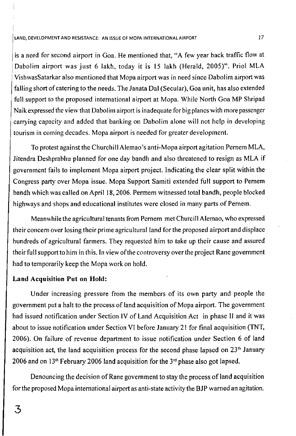#### **LAND, DEVELOPMENT AND RESISTANCE: AN ISSUE OF MOPA INTERNATIONAL AIRPORT** *Y7*

is a need for second airport in Goa. He mentioned that, "A few year back traffic flow at Dabolim airport was just 6 lakh, today it is 15 lakh (Herald, 2005)". Priol MLA VishwasSatarkar also mentioned that Mopa airport was in need since Dabolim airport was falling short of catering to the needs. The Janata Dal (Secular), Goa unit, has also extended full support to the proposed international airport at Mopa. While North Goa MP Shripad Naik expressed the view that Dabolim airport is inadequate for big planes with more passenger carrying capacity and added that banking on Dabolim alone will not help in developing tourism in coming decades. Mopa airport is needed for greater development.

To protest against the Churchill Alemao's anti-Mopa airport agitation Pemem MLA, Jitendra Deshprabhu planned for one day bandh and also threatened to resign as MLA if government fails to implement Mopa airport project. Indicating the clear split within the Congress party over Mopa issue. Mopa Support Samiti extended full support to Pemem bandh which was called on April 18,2006. Permem witnessed total bandh, people blocked highways and shops and educational institutes were closed in many parts of Pemem.

Meanwhile the agricultural tenants from Pernem metChurcill Alemao, who expressed their concern over losing their prime agricultural land for the proposed airport and displace hundreds of agricultural farmers. They requested him to take up their cause and assured their full support to him in this. In view of the controversy over the project Rane government had to temporarily keep the Mopa work on hold.

#### **Land Acquisition Put on Hold:**

Linder increasing pressure from the members of its own party and people the government put a halt to the process of land acquisition of Mopa airport. The government had issued notification under Section IV of Land Acquisition Act in phase II and it was about to issue notification under Section VI before January 21 for final acquisition (TNT, 2006). On failure of revenue department to issue notification under Section 6 of land acquisition act, the land acquisition process for the second phase lapsed on  $23<sup>th</sup>$  January 2006 and on  $13<sup>th</sup>$  February 2006 land acquisition for the  $3<sup>rd</sup>$  phase also got lapsed.

Denouncing the decision of Rane government to stay the process of land acquisition for the proposed Mopa international airport as anti-state activity the BJP warned an agitation.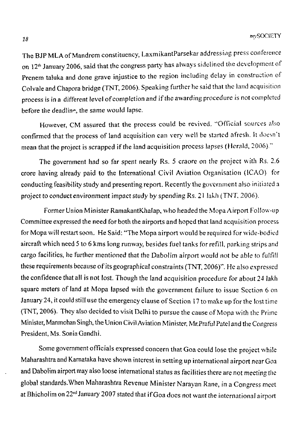The BJPMLAof Mandrem constituency, LaxmikantParsekar addressing press conference on 12<sup>th</sup> January 2006, said that the congress party has always sidelined the development of Prenem taluka and done grave injustice to the region including delay in construction of Colvale and Chapora bridge (TNT, 2006). Speaking further he said that the land acquisition process is in a different level of completion and if the awarding procedure is not completed before the deadline, the same would lapse.

However, CM assured that the process could be revived. "Official sources also confirmed that the process of land acquisition can very well be started afresh. It doesn't mean that the project is scrapped if the land acquisition process lapses (Herald, 2006)."

The government had so far spent nearly Rs. 5 craore on the project with Rs. 2.6 crore having already paid to the International Civil Aviation Organisation (ICAO) for conducting feasibility study and presenting report. Recently the government also initiated a project to conduct environment impact study by spending Rs. 21 lakh (TNT, 2006).

Former Union Minister RamakantKhalap, who headed the Mopa Airport Follow-up Committee expressed the need for both the airports and hoped that land acquisition process for Mopa will restart soon. He Said: "The Mopa airport would be required for wide-bodied aircraft which need 5 to 6 kms long runway, besides fuel tanks for refill, parking strips and cargo facilities, he further mentioned that the Dabolim airport would not be able to fulfill these requirements because of its geographical constraints (TNT, 2006)". He also expressed the confidence that all is not lost. Though the land acquisition procedure for about 24 lakh square meters of land at Mopa lapsed with the government failure to issue Section 6 on January 24, it could still use the emergency clause of Section 17 to make up for the lost time (TNT, 2006). They also decided to visit Delhi to pursue the cause of Mopa with the Prime Minister, Manmohan Singh, the Union Civil Aviation Minister, Mr.Praful Patel and the Congress President, Ms. Sonia Gandhi.

Some government officials expressed concern that Goa could lose the project while Maharashtra and Karnataka have shown interest in setting up international airport near Goa and Dabolim airport may also loose international status as facilities there are not meeting the global standards.When Maharashtra Revenue Minister Narayan Rane, in a Congress meet at Bhicholim on 22<sup>nd</sup> January 2007 stated that if Goa does not want the international airport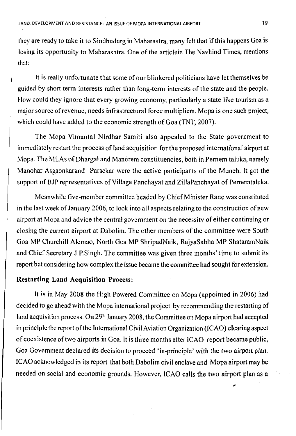they are ready to take it to Sindhudurg in Maharastra, many felt that if this happens Goa is losing its opportunity to Maharashtra. One of the articlein The Navhind Times, mentions that:

It is really unfortunate that some of our blinkered politicians have let themselves be guided by short term interests rather than long-term interests of the state and the people. How could they ignore that every growing economy, particularly a state like tourism as a major source of revenue, needs infrastructural force multipliers. Mopa is one such project, which could have added to the economic strength of Goa (TNT, 2007).

The Mopa Vimantal Nirdhar Samiti also appealed to the State government to immediately restart the process of land acquisition for the proposed international airport at Mopa. The MLAs of Dhargal and Mandrem constituencies, both in Pemem taluka, namely Manohar Asgaonkarand Parsekar were the active participants of the Munch. It got the support of BJP representatives of Village Panchayat and ZillaPanchayat of Pememtaluka.

Meanwhile five-member committee headed by Chief Minister Rane was constituted in the last week of January 2006, to look into all aspects relating to the construction of new airport at Mopa and advice the central government on the necessity of either continuing or closing the current airport at Dabolim. The other members of the committee were South Goa MP Churchill Alemao, North Goa MP ShripadNaik, RajyaSabha MP ShataramNaik and Chief Secretary J.P.Singh. The committee was given three months' time to submit its report but considering how complex the issue became the committee had sought for extension.

## **Restarting Land Acquisition Process:**

It is in May 2008 the High Powered Committee on Mopa (appointed in 2006) had decided to go ahead with the Mopa international project by recommending the restarting of land acquisition process. On 29<sup>th</sup> January 2008, the Committee on Mopa airport had accepted in principle the report of the International Civil Aviation Organization (ICAO) clearing aspect of coexistence of two airports in Goa. It is three months after ICAO report became public, Goa Government declared its decision to proceed 'in-principle' with the two airport plan. ICAO acknowledged in its report that both Dabolim civil enclave and Mopa airport may be needed on social and economic grounds. However, ICAO calls the two airport plan as a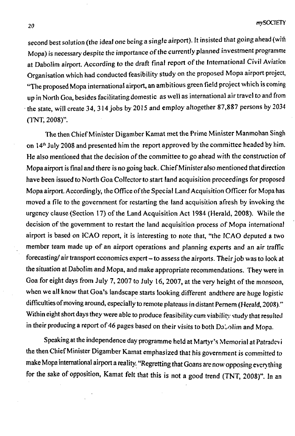second best solution (the ideal one being a single airport). It insisted that going ahead (with Mopa) is necessary despite the importance of the currently planned investment programme at Dabolim airport. According to the draft final report of the International Civil Aviation Organisation which had conducted feasibility study on the proposed Mopa airport project, "The proposed Mopa international airport, an ambitious green field project which is coming up in North Goa, besides facilitating domestic as well as international air travel to and from the state, will create 34, 314 jobs by 2015 and employ altogether 87,887 persons by 2034 (TNT, 2008)".

The then Chief Minister Digamber Kamat met the Prime Minister Manmohan Singh on  $14<sup>th</sup>$  July 2008 and presented him the report approved by the committee headed by him. He also mentioned that the decision of the committee to go ahead with the construction of Mopa airport is final and there is no going back. Chief Minister also mentioned that direction have been issued to North Goa Collector to start land acquisition proceedings for proposed Mopa airport. Accordingly, the Office of the Special Land Acquisition Officer for Mopa has moved a file to the government for restarting the land acquisition afresh by invoking the urgency clause (Section 17) of the Land Acquisition Act 1984 (Herald, 2008). While the decision of the government to restart the land acquisition process of Mopa international airport is based on ICAO report, it is interesting to note that, "the ICAO deputed a two member team made up of an airport operations and planning experts and an air traffic forecasting/ air transport economics expert - to assess the airports. Their job was to look at the situation at Dabolim and Mopa, and make appropriate recommendations. They were in Goa for eight days from July 7, 2007 to July 16, 2007, at the very height of the monsoon, when we all know that Goa's landscape starts looking different andthere are huge logistic difficulties of moving around, especially to remote plateaus in distant Pemem (Herald, 2008)." Within eight short days they were able to produce feasibility cum viability study that resulted in their producing a report of 46 pages based on their visits to both Dabolim and Mopa.

Speaking at the independence day programme held at Martyr's Memorial at Patradevi the then Chief Minister Digamber Kamat emphasized that his government is committed to make Mopa international airport a reality. "Regretting that Goans are now opposing everything for the sake of opposition, Kamat felt that this is not a good trend (TNT, 2008)", In an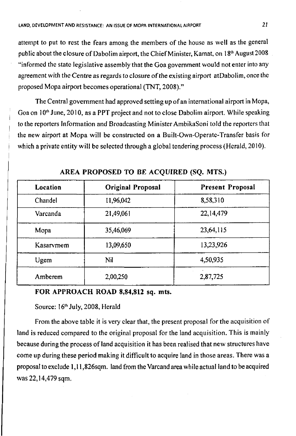attempt to put to rest the fears among the members of the house as well as the general public about the closure of Dabolim airport, the Chief Minister, Kamat, on  $18<sup>th</sup>$  August 2008 "informed the state legislative assembly that the Goa government would not enter into any agreement with the Centre as regards to closure of the existing airport atDabolim, once the proposed Mopa airport becomes operational (TNT, 2008)."

The Central government had approved setting up of an international airport in Mopa, Goa on  $10<sup>th</sup>$  June, 2010, as a PPT project and not to close Dabolim airport. While speaking to the reporters Information and Broadcasting Minister AmbikaSoni told the reporters that | the new airport at Mopa will be constructed on a Built-Own-Operate-Transfer basis for | which a private entity will be selected through a global tendering process (Herald, 2010).

| Location  | <b>Original Proposal</b> | <b>Present Proposal</b> |
|-----------|--------------------------|-------------------------|
| Chandel   | 11,96,042                | 8,58,310                |
| Varcanda  | 21,49,061                | 22,14,479               |
| Mopa      | 35,46,069                | 23,64,115               |
| Kasarvmem | 13,09,650                | 13,23,926               |
| Ugem      | Nil                      | 4,50,935                |
| Amberem   | 2,00,250                 | 2,87,725                |

**AREA PROPOSED TO BE ACQUIRED (SQ. MTS.)**

## **FOR APPROACH ROAD 8,84,812 sq. mts.**

## Source: 16<sup>th</sup> July, 2008, Herald

From the above table it is very clear that, the present proposal for the acquisition of land is reduced compared to the original proposal for the land acquisition. This is mainly because during the process of land acquisition it has been realised that new structures have come up during these period making it difficult to acquire land in those areas. There was a proposal to exclude l,ll,826sqm. land from the Varcand area while actual land to be acquired was 22,14,479 sqm.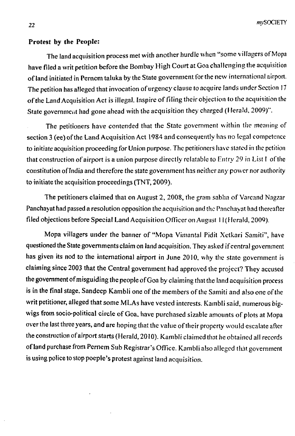#### **Protest by the People:**

The land acquisition process met with another hurdle when "some villagers of Mopa have filed a writ petition before the Bombay High Court at Goa challenging the acquisition of land initiated in Pernem taluka by the State government for the new international airport. The petition has alleged that invocation of urgency clause to acquire lands under Section 17 of the Land Acquisition Act is illegal. Inspire of filing their objection to the acquisition the State government had gone ahead with the acquisition they charged (Herald, 2009)".

The petitioners have contended that the State government within the meaning of section 3 (ee) of the Land Acquisition Act 1984 and consequently has no legal competence to initiate acquisition proceeding for Union purpose. The petitioners have stated in the petition that construction of airport is a union purpose directly refutable to Entry 29 in List I of the constitution of India and therefore the state government has neither any power nor authority to initiate the acquisition proceedings (TNT, 2009).

The petitioners claimed that on August 2, 2008, the gram sabha of Varcand Nagzar Panchayat had passed a resolution opposition the acquisition and the Panchayat had thereafter filed objections before Special Land Acquisition Officer on August 11 (Herald, 2009).

Mopa villagers under the banner of "Mopa Vimantal Pidit Xetkari Samiti", have questioned the State governments claim on land acquisition. They asked if central government has given its nod to the international airport in June 2010, why the state government is claiming since 2003 that the Central government had approved the project? They accused the government of misguiding the people of Goa by claiming that the land acquisition process is in the final stage. Sandeep Kambli one of the members of the Samiti and also one of the writ petitioner, alleged that some MLAs have vested interests. Kambli said, numerous bigwigs from socio-political circle of Goa, have purchased sizable amounts of plots at Mopa over the last three years, and are hoping that the value of their property would escalate after the construction of airport starts (Herald, 2010). Kambli claimed that he obtained all records of land purchase from Pernem Sub Registrar's Office. Kambli also alleged that government is using police to stop poeple's protest against land acquisition.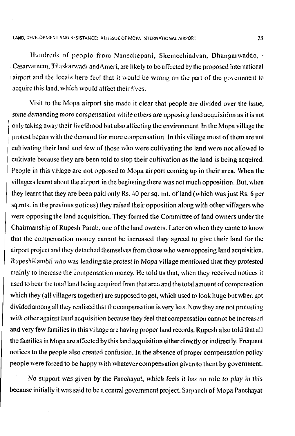Hundreds of people from Nanechepani, Shemechiadvan, Dhangarwaddo, - Casarvarnem, Tilaskarwadi andAmeri, are likely to be affected by the proposed international airport and the locals here feel that it would be wrong on the part of the government to acquire this land, which would affect their fives.

Visit to the Mopa airport site made it clear that people are divided over the issue, some demanding more compensation while others are opposing land acquisition as it is not only taking away their livelihood but also affecting the environment. In the Mopa village the protest began with the demand for more compensation. In this village most of them are not cultivating their land and few of those who were cultivating the land were not allowed to cultivate because they are been told to stop their cultivation as the land is being acquired. People in this village are not opposed to Mopa airport coming up in their area. When the villagers learnt about the airport in the beginning there was not much opposition. But, when they learnt that they are been paid only Rs. 40 per sq. mt. of land (which was just Rs. 6 per sq.mts. in the previous notices) they raised their opposition along w'ith other villagers who were opposing the land acquisition. They formed the Committee of land owners under the Chairmanship of Rupesh Parab, one of the land owners. Later on when they came to know that the compensation money cannot be increased they agreed to give their land for the airport project and they detached themselves from those who were opposing land acquisition. RupeshKambli who was leading the protest in Mopa village mentioned that they protested mainly to increase the compensation money. He told us that, when they received notices it used to bear the total land being acquired from that area and the total amount of compensation which they (all villagers together) are supposed to get, which used to look huge but when got divided among all they realised that the compensation is very less. Now they are not protesting with other against land acquisition because they feel that compensation cannot be increased and very few families in this village are having proper land records. Rupesh also told that all the families in Mopa are affected by this land acquisition either directly or indirectly. Frequent notices to the people also created confusion. In the absence of proper compensation policy people were forced to be happy with whatever compensation given to them by government.

No support was given by the Panchayat, which feels it has no role to play in this because initially it was said to be a central government project. Sarpanch of Mopa Panchayat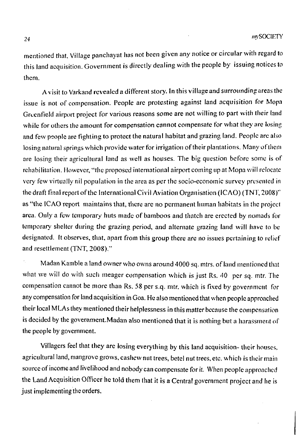mentioned that, Village panchayat has not been given any notice or circular with regard to this land acquisition. Government is directly dealing with the people by issuing notices to them.

A visit to Varkand revealed a different story. In this village and surrounding areas the issue is not of compensation. People are protesting against land acquisition for Mopa Greenfield airport project for various reasons some are not willing to part with their land while for others the amount for compensation cannot compensate for what they are losing and few people are fighting to protect the natural habitat and grazing land. People are also losing natural springs which provide water for irrigation of their plantations. Many of them are losing their agricultural land as well as houses. The big question before some is of rehabilitation. However, "the proposed international airport coming up at Mopa will relocate very few virtually nil population in the area as per the socio-economic survey presented in the draft final report of the International Civil Aviation Organisation (ICAO) (TNT, 2008)" as "the ICAO report maintains that, there are no permanent human habitats in the project area. Only a few temporary huts made of bamboos and thatch are erected by nomads for temporary shelter during the grazing period, and alternate grazing land will have to he designated. It observes, that, apart from this group there are no issues pertaining to relief and resettlement (TNT, 2008)."

Madan Kamble a land owner who owns around 4000 sq. mtrs. of land mentioned that what we will do with such meager compensation which is just Rs. 40 per sq. mtr. The compensation cannot be more than Rs. 58 per s.q. mtr. which is fixed by government for any compensation for land acquisition in Goa. He also mentioned that when people approached their local MLAs they mentioned their helplessness in this matter because the compensation is decided by the government.Madan also mentioned that it is nothing but a harassment of the people by government.

Villagers feel that they are losing everything by this land acquisition- their houses, agricultural land, mangrove grows, cashew nut trees, betel nut trees, etc. which is their main source of income and livelihood and nobody can compensate for it. When people approached the Land Acquisition Officer he told them that it is a Central government project and he is just implementing the orders.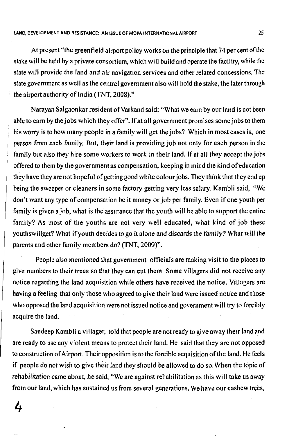At present "the greenfield airport policy works on the principle that 74 per cent of the stake will be held by a private consortium, which will build and operate the facility, while the state will provide the land and air navigation services and other related concessions. The state government as well as the central government also will hold the stake, the later through the airport authority of India (TNT, 2008)."

Narayan Salgaonkar resident of Varkand said: "What we earn by our land is not been able to earn by the jobs which they offer". If at all government promises some jobs to them his worry is to how many people in a family will get the jobs? Which in most cases is, one person from each family. But, their land is providing job not only for each person in the family but also they hire some workers to work in their land. If at all they accept the jobs offered to them by the government as compensation, keeping in mind the kind of education they have they are not hopeful of getting good white colour jobs. They think that they end up being the sweeper or cleaners in some factory getting very less salary. Kambli said, "We don't want any type of compensation be it money or job per family. Even if one youth per family is given a job, what is the assurance that the youth will be able to support the entire family? As most of the youths are not very well educated, what kind of job these youthswiliget? What if youth decides to go it alone and discards the family? What will the parents and other family members do? (TNT, 2009)".

People also mentioned that government officials are making visit to the places to give numbers to their trees so that they can cut them. Some villagers did not receive any notice regarding the land acquisition while others have received the notice. Villagers are having a feeling that only those who agreed to give their land were issued notice and those who opposed the land acquisition were not issued notice and government will try to forcibly acquire the land.

Sandeep Kambli a villager, told that people are not ready to give away their land and are ready to use any violent means to protect their land. He said that they are not opposed to construction of Airport. Their opposition is to the forcible acquisition ofthe land. He feels if people do not wish to give their land they should be allowed to do so.When the topic of rehabilitation came about, he said, "We are against rehabilitation as this will take us away from our land, which has sustained us from several generations. We have our cashew trees,

4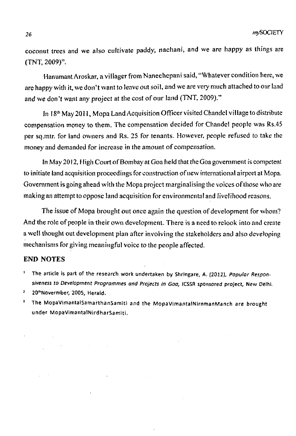coconut trees and we also cultivate paddy, nachani, and we are happy as things are (TNT, 2009)".

Hanumant Aroskar, a villager from Nanechepani said, "Whatever condition here, we are happy with it, we don't want to leave out soil, and we are very much attached to our land and we don't want any project at the cost of our land (TNT, 2009)."

In 18<sup>th</sup> May 2011, Mopa Land Acquisition Officer visited Chandel village to distribute compensation money to them. The compensation decided for Chandel people was Rs.45 per sq.mtr. for land owners and Rs. 25 for tenants. However, people refused to lake the money and demanded for increase in the amount of compensation.

In May 2012, High Court of Bombay at Goa held that the Goa government is competent to initiate land acquisition proceedings for construction of new international airport at Mopa. Government is going ahead with the Mopa project marginalising the voices of those who are making an attempt to oppose land acquisition for environmental and livelihood reasons.

The issue of Mopa brought out once again the question of development for whom? And the role of people in their own development. There is a need to rclook into and create a well thought out development plan after involving the stakeholders and also developing mechanisms for giving meaningful voice to the people affected.

### END NOTES

- **1 The article is part of the research work undertaken by Shringare, A. (2012),** *Popular Responsiveness to Development Programmes and Projects in Goa,* **(CSSR sponsored project, New Delhi.**
- <sup>2</sup> 20<sup>th</sup> Novermber, 2005, Herald.
- **3 The MopaVimantalSamarthanSamiti and the MopaVimantalNirnrnanManch are brought under MopaVimantalNirdharSamiti.**